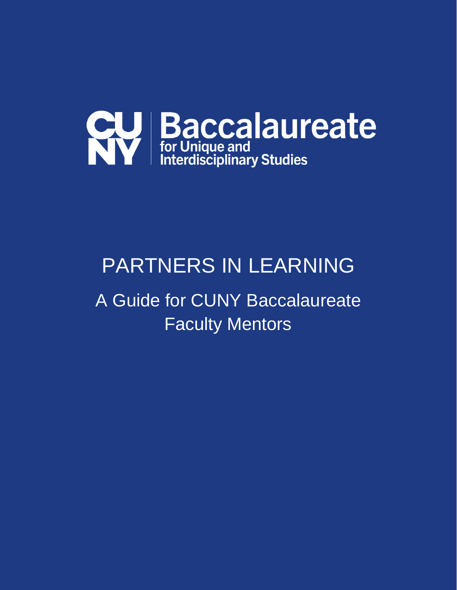

# PARTNERS IN LEARNING

A Guide for CUNY Baccalaureate Faculty Mentors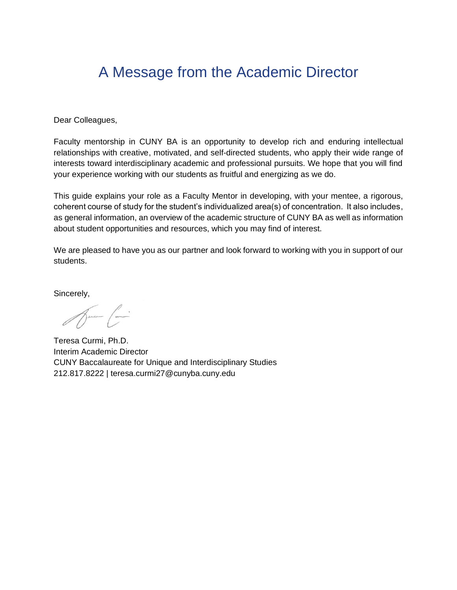## A Message from the Academic Director

Dear Colleagues,

Faculty mentorship in CUNY BA is an opportunity to develop rich and enduring intellectual relationships with creative, motivated, and self-directed students, who apply their wide range of interests toward interdisciplinary academic and professional pursuits. We hope that you will find your experience working with our students as fruitful and energizing as we do.

This guide explains your role as a Faculty Mentor in developing, with your mentee, a rigorous, coherent course of study for the student's individualized area(s) of concentration. It also includes, as general information, an overview of the academic structure of CUNY BA as well as information about student opportunities and resources, which you may find of interest.

We are pleased to have you as our partner and look forward to working with you in support of our students.

Sincerely,

Aure Com

Teresa Curmi, Ph.D. Interim Academic Director CUNY Baccalaureate for Unique and Interdisciplinary Studies 212.817.8222 | teresa.curmi27@cunyba.cuny.edu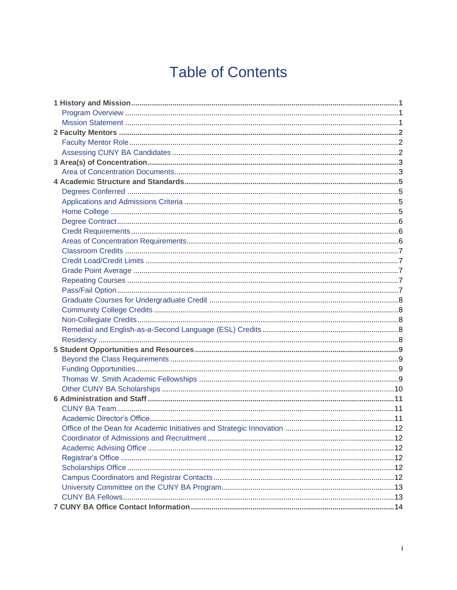## **Table of Contents**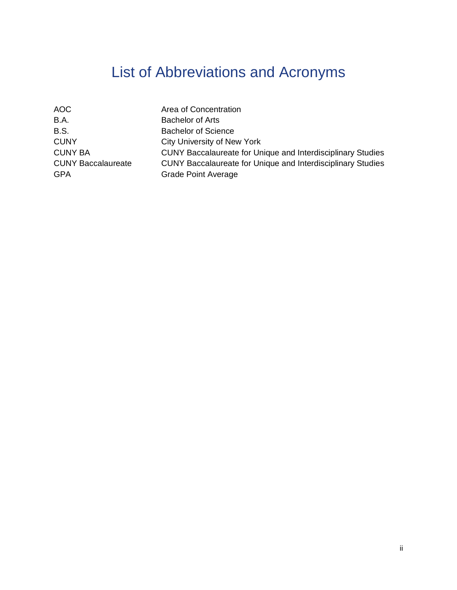## List of Abbreviations and Acronyms

| <b>AOC</b>                              | Area of Concentration                                                                     |
|-----------------------------------------|-------------------------------------------------------------------------------------------|
| B.A.                                    | <b>Bachelor of Arts</b>                                                                   |
| B.S.                                    | <b>Bachelor of Science</b>                                                                |
| <b>CUNY</b>                             | City University of New York                                                               |
| <b>CUNY BA</b>                          | <b>CUNY Baccalaureate for Unique and Interdisciplinary Studies</b>                        |
| <b>CUNY Baccalaureate</b><br><b>GPA</b> | CUNY Baccalaureate for Unique and Interdisciplinary Studies<br><b>Grade Point Average</b> |
|                                         |                                                                                           |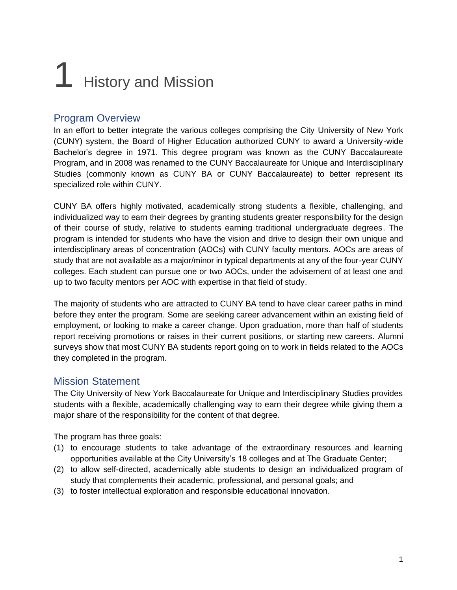# **History and Mission**

#### Program Overview

In an effort to better integrate the various colleges comprising the City University of New York (CUNY) system, the Board of Higher Education authorized CUNY to award a University-wide Bachelor's degree in 1971. This degree program was known as the CUNY Baccalaureate Program, and in 2008 was renamed to the CUNY Baccalaureate for Unique and Interdisciplinary Studies (commonly known as CUNY BA or CUNY Baccalaureate) to better represent its specialized role within CUNY.

CUNY BA offers highly motivated, academically strong students a flexible, challenging, and individualized way to earn their degrees by granting students greater responsibility for the design of their course of study, relative to students earning traditional undergraduate degrees. The program is intended for students who have the vision and drive to design their own unique and interdisciplinary areas of concentration (AOCs) with CUNY faculty mentors. AOCs are areas of study that are not available as a major/minor in typical departments at any of the four-year CUNY colleges. Each student can pursue one or two AOCs, under the advisement of at least one and up to two faculty mentors per AOC with expertise in that field of study.

The majority of students who are attracted to CUNY BA tend to have clear career paths in mind before they enter the program. Some are seeking career advancement within an existing field of employment, or looking to make a career change. Upon graduation, more than half of students report receiving promotions or raises in their current positions, or starting new careers. Alumni surveys show that most CUNY BA students report going on to work in fields related to the AOCs they completed in the program.

#### Mission Statement

The City University of New York Baccalaureate for Unique and Interdisciplinary Studies provides students with a flexible, academically challenging way to earn their degree while giving them a major share of the responsibility for the content of that degree.

The program has three goals:

- (1) to encourage students to take advantage of the extraordinary resources and learning opportunities available at the City University's 18 colleges and at The Graduate Center;
- (2) to allow self-directed, academically able students to design an individualized program of study that complements their academic, professional, and personal goals; and
- (3) to foster intellectual exploration and responsible educational innovation.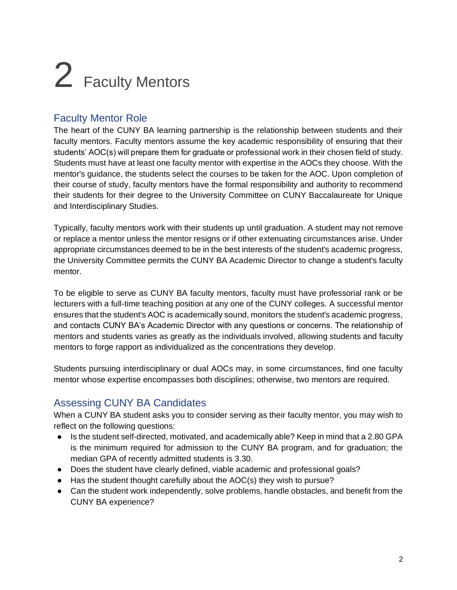# 2 Faculty Mentors

#### Faculty Mentor Role

The heart of the CUNY BA learning partnership is the relationship between students and their faculty mentors. Faculty mentors assume the key academic responsibility of ensuring that their students' AOC(s) will prepare them for graduate or professional work in their chosen field of study. Students must have at least one faculty mentor with expertise in the AOCs they choose. With the mentor's guidance, the students select the courses to be taken for the AOC. Upon completion of their course of study, faculty mentors have the formal responsibility and authority to recommend their students for their degree to the University Committee on CUNY Baccalaureate for Unique and Interdisciplinary Studies.

Typically, faculty mentors work with their students up until graduation. A student may not remove or replace a mentor unless the mentor resigns or if other extenuating circumstances arise. Under appropriate circumstances deemed to be in the best interests of the student's academic progress, the University Committee permits the CUNY BA Academic Director to change a student's faculty mentor.

To be eligible to serve as CUNY BA faculty mentors, faculty must have professorial rank or be lecturers with a full-time teaching position at any one of the CUNY colleges. A successful mentor ensures that the student's AOC is academically sound, monitors the student's academic progress, and contacts CUNY BA's Academic Director with any questions or concerns. The relationship of mentors and students varies as greatly as the individuals involved, allowing students and faculty mentors to forge rapport as individualized as the concentrations they develop.

Students pursuing interdisciplinary or dual AOCs may, in some circumstances, find one faculty mentor whose expertise encompasses both disciplines; otherwise, two mentors are required.

## Assessing CUNY BA Candidates

When a CUNY BA student asks you to consider serving as their faculty mentor, you may wish to reflect on the following questions:

- Is the student self-directed, motivated, and academically able? Keep in mind that a 2.80 GPA is the minimum required for admission to the CUNY BA program, and for graduation; the median GPA of recently admitted students is 3.30.
- Does the student have clearly defined, viable academic and professional goals?
- Has the student thought carefully about the AOC(s) they wish to pursue?
- Can the student work independently, solve problems, handle obstacles, and benefit from the CUNY BA experience?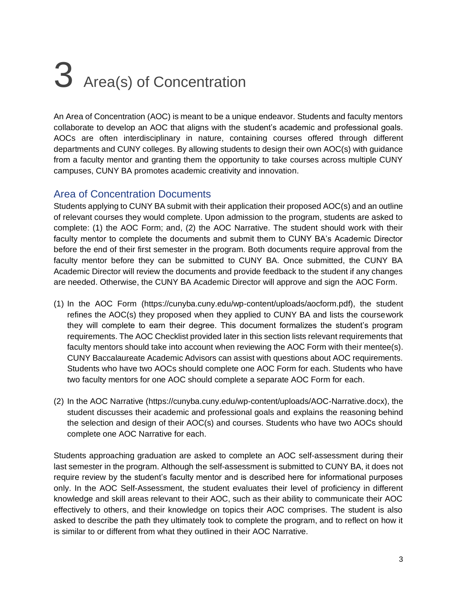# 3 Area(s) of Concentration

An Area of Concentration (AOC) is meant to be a unique endeavor. Students and faculty mentors collaborate to develop an AOC that aligns with the student's academic and professional goals. AOCs are often interdisciplinary in nature, containing courses offered through different departments and CUNY colleges. By allowing students to design their own AOC(s) with guidance from a faculty mentor and granting them the opportunity to take courses across multiple CUNY campuses, CUNY BA promotes academic creativity and innovation.

#### Area of Concentration Documents

Students applying to CUNY BA submit with their application their proposed AOC(s) and an outline of relevant courses they would complete. Upon admission to the program, students are asked to complete: (1) the AOC Form; and, (2) the AOC Narrative. The student should work with their faculty mentor to complete the documents and submit them to CUNY BA's Academic Director before the end of their first semester in the program. Both documents require approval from the faculty mentor before they can be submitted to CUNY BA. Once submitted, the CUNY BA Academic Director will review the documents and provide feedback to the student if any changes are needed. Otherwise, the CUNY BA Academic Director will approve and sign the AOC Form.

- (1) In the AOC Form [\(https://cunyba.cuny.edu/wp-content/uploads/aocform.pdf\)](https://cunyba.cuny.edu/wp-content/uploads/aocform.pdf), the student refines the AOC(s) they proposed when they applied to CUNY BA and lists the coursework they will complete to earn their degree. This document formalizes the student's program requirements. The AOC Checklist provided later in this section lists relevant requirements that faculty mentors should take into account when reviewing the AOC Form with their mentee(s). CUNY Baccalaureate Academic Advisors can assist with questions about AOC requirements. Students who have two AOCs should complete one AOC Form for each. Students who have two faculty mentors for one AOC should complete a separate AOC Form for each.
- (2) In the AOC Narrative [\(https://cunyba.cuny.edu/wp-content/uploads/AOC-Narrative.docx\)](https://cunyba.cuny.edu/wp-content/uploads/AOC-Narrative.docx), the student discusses their academic and professional goals and explains the reasoning behind the selection and design of their AOC(s) and courses. Students who have two AOCs should complete one AOC Narrative for each.

Students approaching graduation are asked to complete an AOC self-assessment during their last semester in the program. Although the self-assessment is submitted to CUNY BA, it does not require review by the student's faculty mentor and is described here for informational purposes only. In the AOC Self-Assessment, the student evaluates their level of proficiency in different knowledge and skill areas relevant to their AOC, such as their ability to communicate their AOC effectively to others, and their knowledge on topics their AOC comprises. The student is also asked to describe the path they ultimately took to complete the program, and to reflect on how it is similar to or different from what they outlined in their AOC Narrative.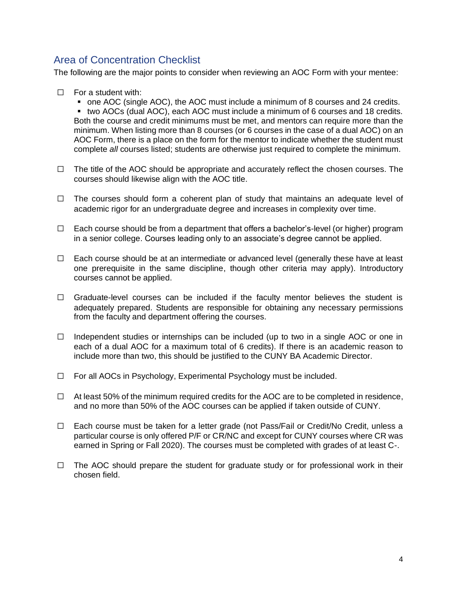#### Area of Concentration Checklist

The following are the major points to consider when reviewing an AOC Form with your mentee:

 $\Box$  For a student with:

■ one AOC (single AOC), the AOC must include a minimum of 8 courses and 24 credits. ■ two AOCs (dual AOC), each AOC must include a minimum of 6 courses and 18 credits. Both the course and credit minimums must be met, and mentors can require more than the minimum. When listing more than 8 courses (or 6 courses in the case of a dual AOC) on an AOC Form, there is a place on the form for the mentor to indicate whether the student must complete *all* courses listed; students are otherwise just required to complete the minimum.

- $\Box$  The title of the AOC should be appropriate and accurately reflect the chosen courses. The courses should likewise align with the AOC title.
- $\Box$  The courses should form a coherent plan of study that maintains an adequate level of academic rigor for an undergraduate degree and increases in complexity over time.
- $\Box$  Each course should be from a department that offers a bachelor's-level (or higher) program in a senior college. Courses leading only to an associate's degree cannot be applied.
- $\Box$  Each course should be at an intermediate or advanced level (generally these have at least one prerequisite in the same discipline, though other criteria may apply). Introductory courses cannot be applied.
- $\Box$  Graduate-level courses can be included if the faculty mentor believes the student is adequately prepared. Students are responsible for obtaining any necessary permissions from the faculty and department offering the courses.
- $\Box$  Independent studies or internships can be included (up to two in a single AOC or one in each of a dual AOC for a maximum total of 6 credits). If there is an academic reason to include more than two, this should be justified to the CUNY BA Academic Director.
- $\Box$  For all AOCs in Psychology, Experimental Psychology must be included.
- $\Box$  At least 50% of the minimum required credits for the AOC are to be completed in residence, and no more than 50% of the AOC courses can be applied if taken outside of CUNY.
- $\Box$  Each course must be taken for a letter grade (not Pass/Fail or Credit/No Credit, unless a particular course is only offered P/F or CR/NC and except for CUNY courses where CR was earned in Spring or Fall 2020). The courses must be completed with grades of at least C-.
- $\Box$  The AOC should prepare the student for graduate study or for professional work in their chosen field.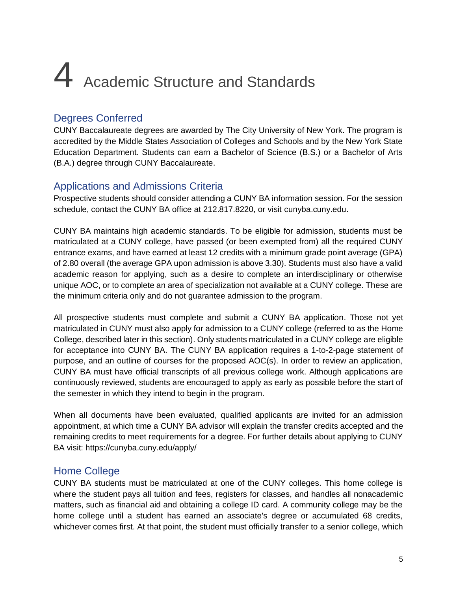# 4 Academic Structure and Standards

### Degrees Conferred

CUNY Baccalaureate degrees are awarded by The City University of New York. The program is accredited by the Middle States Association of Colleges and Schools and by the New York State Education Department. Students can earn a Bachelor of Science (B.S.) or a Bachelor of Arts (B.A.) degree through CUNY Baccalaureate.

#### Applications and Admissions Criteria

Prospective students should consider attending a CUNY BA information session. For the session schedule, contact the CUNY BA office at 212.817.8220, or visit [cunyba.cuny.edu.](https://cunyba.cuny.edu/)

CUNY BA maintains high academic standards. To be eligible for admission, students must be matriculated at a CUNY college, have passed (or been exempted from) all the required CUNY entrance exams, and have earned at least 12 credits with a minimum grade point average (GPA) of 2.80 overall (the average GPA upon admission is above 3.30). Students must also have a valid academic reason for applying, such as a desire to complete an interdisciplinary or otherwise unique AOC, or to complete an area of specialization not available at a CUNY college. These are the minimum criteria only and do not guarantee admission to the program.

All prospective students must complete and submit a CUNY BA application. Those not yet matriculated in CUNY must also apply for admission to a CUNY college (referred to as the Home College, described later in this section). Only students matriculated in a CUNY college are eligible for acceptance into CUNY BA. The CUNY BA application requires a 1-to-2-page statement of purpose, and an outline of courses for the proposed AOC(s). In order to review an application, CUNY BA must have official transcripts of all previous college work. Although applications are continuously reviewed, students are encouraged to apply as early as possible before the start of the semester in which they intend to begin in the program.

When all documents have been evaluated, qualified applicants are invited for an admission appointment, at which time a CUNY BA advisor will explain the transfer credits accepted and the remaining credits to meet requirements for a degree. For further details about applying to CUNY BA visit:<https://cunyba.cuny.edu/apply/>

#### Home College

CUNY BA students must be matriculated at one of the CUNY colleges. This home college is where the student pays all tuition and fees, registers for classes, and handles all nonacademic matters, such as financial aid and obtaining a college ID card. A community college may be the home college until a student has earned an associate's degree or accumulated 68 credits, whichever comes first. At that point, the student must officially transfer to a senior college, which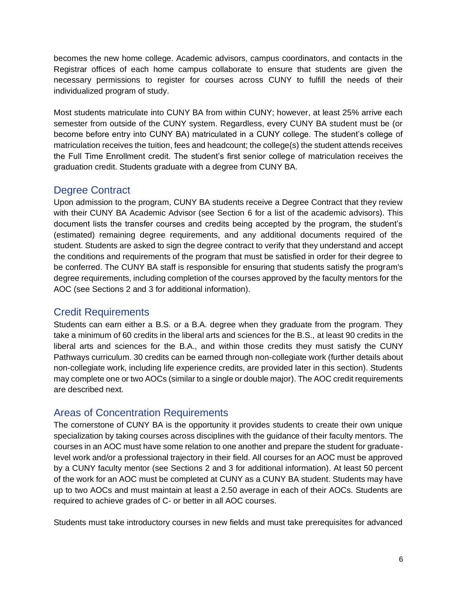becomes the new home college. Academic advisors, campus coordinators, and contacts in the Registrar offices of each home campus collaborate to ensure that students are given the necessary permissions to register for courses across CUNY to fulfill the needs of their individualized program of study.

Most students matriculate into CUNY BA from within CUNY; however, at least 25% arrive each semester from outside of the CUNY system. Regardless, every CUNY BA student must be (or become before entry into CUNY BA) matriculated in a CUNY college. The student's college of matriculation receives the tuition, fees and headcount; the college(s) the student attends receives the Full Time Enrollment credit. The student's first senior college of matriculation receives the graduation credit. Students graduate with a degree from CUNY BA.

#### Degree Contract

Upon admission to the program, CUNY BA students receive a Degree Contract that they review with their CUNY BA Academic Advisor (see Section 6 for a list of the academic advisors). This document lists the transfer courses and credits being accepted by the program, the student's (estimated) remaining degree requirements, and any additional documents required of the student. Students are asked to sign the degree contract to verify that they understand and accept the conditions and requirements of the program that must be satisfied in order for their degree to be conferred. The CUNY BA staff is responsible for ensuring that students satisfy the program's degree requirements, including completion of the courses approved by the faculty mentors for the AOC (see Sections 2 and 3 for additional information).

#### Credit Requirements

Students can earn either a B.S. or a B.A. degree when they graduate from the program. They take a minimum of 60 credits in the liberal arts and sciences for the B.S., at least 90 credits in the liberal arts and sciences for the B.A., and within those credits they must satisfy the [CUNY](https://www2.cuny.edu/about/administration/offices/undergraduate-studies/pathways/)  [Pathways](https://www2.cuny.edu/about/administration/offices/undergraduate-studies/pathways/) curriculum. 30 credits can be earned through non-collegiate work (further details about non-collegiate work, including life experience credits, are provided later in this section). Students may complete one or two AOCs (similar to a single or double major). The AOC credit requirements are described next.

### Areas of Concentration Requirements

The cornerstone of CUNY BA is the opportunity it provides students to create their own unique specialization by taking courses across disciplines with the guidance of their faculty mentors. The courses in an AOC must have some relation to one another and prepare the student for graduatelevel work and/or a professional trajectory in their field. All courses for an AOC must be approved by a CUNY faculty mentor (see Sections 2 and 3 for additional information). At least 50 percent of the work for an AOC must be completed at CUNY as a CUNY BA student. Students may have up to two AOCs and must maintain at least a 2.50 average in each of their AOCs. Students are required to achieve grades of C- or better in all AOC courses.

Students must take introductory courses in new fields and must take prerequisites for advanced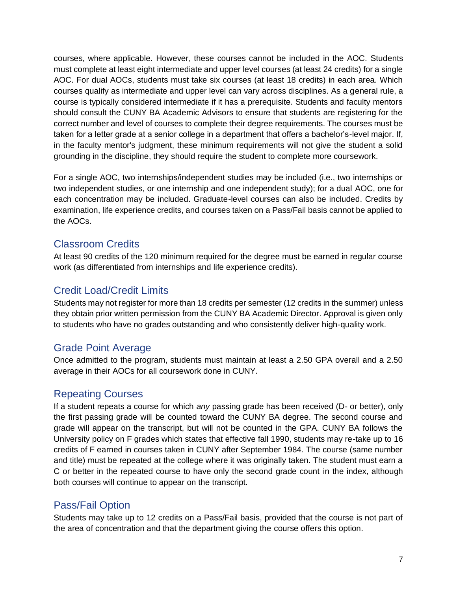courses, where applicable. However, these courses cannot be included in the AOC. Students must complete at least eight intermediate and upper level courses (at least 24 credits) for a single AOC. For dual AOCs, students must take six courses (at least 18 credits) in each area. Which courses qualify as intermediate and upper level can vary across disciplines. As a general rule, a course is typically considered intermediate if it has a prerequisite. Students and faculty mentors should consult the CUNY BA Academic Advisors to ensure that students are registering for the correct number and level of courses to complete their degree requirements. The courses must be taken for a letter grade at a senior college in a department that offers a bachelor's-level major. If, in the faculty mentor's judgment, these minimum requirements will not give the student a solid grounding in the discipline, they should require the student to complete more coursework.

For a single AOC, two internships/independent studies may be included (i.e., two internships or two independent studies, or one internship and one independent study); for a dual AOC, one for each concentration may be included. Graduate-level courses can also be included. Credits by examination, life experience credits, and courses taken on a Pass/Fail basis cannot be applied to the AOCs.

#### Classroom Credits

At least 90 credits of the 120 minimum required for the degree must be earned in regular course work (as differentiated from internships and life experience credits).

#### Credit Load/Credit Limits

Students may not register for more than 18 credits per semester (12 credits in the summer) unless they obtain prior written permission from the CUNY BA Academic Director. Approval is given only to students who have no grades outstanding and who consistently deliver high-quality work.

### Grade Point Average

Once admitted to the program, students must maintain at least a 2.50 GPA overall and a 2.50 average in their AOCs for all coursework done in CUNY.

#### Repeating Courses

If a student repeats a course for which *any* passing grade has been received (D- or better), only the first passing grade will be counted toward the CUNY BA degree. The second course and grade will appear on the transcript, but will not be counted in the GPA. CUNY BA follows the University policy on F grades which states that effective fall 1990, students may re-take up to 16 credits of F earned in courses taken in CUNY after September 1984. The course (same number and title) must be repeated at the college where it was originally taken. The student must earn a C or better in the repeated course to have only the second grade count in the index, although both courses will continue to appear on the transcript.

#### Pass/Fail Option

Students may take up to 12 credits on a Pass/Fail basis, provided that the course is not part of the area of concentration and that the department giving the course offers this option.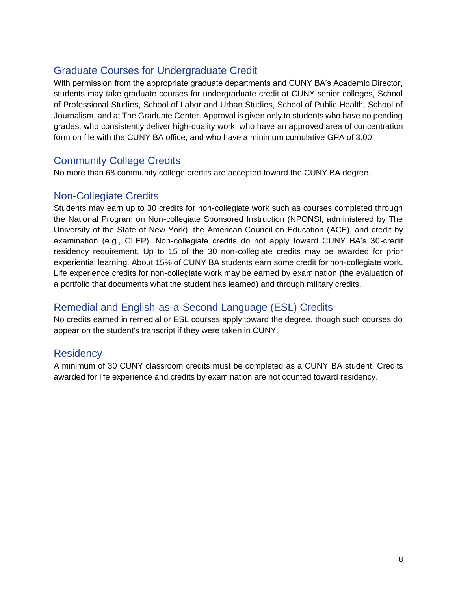## Graduate Courses for Undergraduate Credit

With permission from the appropriate graduate departments and CUNY BA's Academic Director, students may take graduate courses for undergraduate credit at CUNY senior colleges, School of Professional Studies, School of Labor and Urban Studies, School of Public Health, School of Journalism, and at The Graduate Center. Approval is given only to students who have no pending grades, who consistently deliver high-quality work, who have an approved area of concentration form on file with the CUNY BA office, and who have a minimum cumulative GPA of 3.00.

#### Community College Credits

No more than 68 community college credits are accepted toward the CUNY BA degree.

#### Non-Collegiate Credits

Students may earn up to 30 credits for non-collegiate work such as courses completed through the National Program on Non-collegiate Sponsored Instruction (NPONSI; administered by The University of the State of New York), the American Council on Education (ACE), and credit by examination (e.g., CLEP). Non-collegiate credits do not apply toward CUNY BA's 30-credit residency requirement. Up to 15 of the 30 non-collegiate credits may be awarded for prior experiential learning. About 15% of CUNY BA students earn some credit for non-collegiate work. Life experience credits for non-collegiate work may be earned by examination (the evaluation of a portfolio that documents what the student has learned) and through military credits.

### Remedial and English-as-a-Second Language (ESL) Credits

No credits earned in remedial or ESL courses apply toward the degree, though such courses do appear on the student's transcript if they were taken in CUNY.

#### **Residency**

A minimum of 30 CUNY classroom credits must be completed as a CUNY BA student. Credits awarded for life experience and credits by examination are not counted toward residency.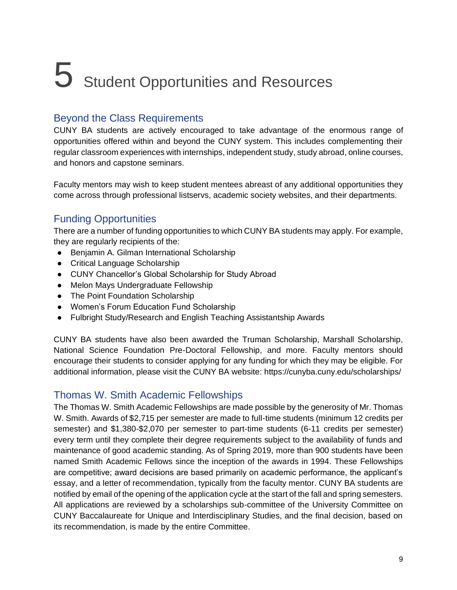# 5 Student Opportunities and Resources

#### Beyond the Class Requirements

CUNY BA students are actively encouraged to take advantage of the enormous range of opportunities offered within and beyond the CUNY system. This includes complementing their regular classroom experiences with [internships,](https://cunyba.cuny.edu/blog/category/jobs-internships-service/) [independent study,](https://cunyba.cuny.edu/blog/what-is-independent-study/) [study abroad,](https://cunyba.cuny.edu/studyabroad/) online courses, and honors and capstone seminars.

Faculty mentors may wish to keep student mentees abreast of any additional opportunities they come across through professional listservs, academic society websites, and their departments.

#### Funding Opportunities

There are a number of [funding opportunities](https://cunyba.cuny.edu/scholarships-cunyba/) to which CUNY BA students may apply. For example, they are regularly recipients of the:

- Benjamin A. Gilman International Scholarship
- Critical Language Scholarship
- CUNY Chancellor's Global Scholarship for Study Abroad
- Melon Mays Undergraduate Fellowship
- The Point Foundation Scholarship
- Women's Forum Education Fund Scholarship
- Fulbright Study/Research and English Teaching Assistantship Awards

CUNY BA students have also been awarded the Truman Scholarship, Marshall Scholarship, National Science Foundation Pre-Doctoral Fellowship, and more. Faculty mentors should encourage their students to consider applying for any funding for which they may be eligible. For additional information, please visit the [CUNY BA website:](https://cunyba.cuny.edu/scholarships-cunyba/) https://cunyba.cuny.edu/scholarships/

#### Thomas W. Smith Academic Fellowships

The Thomas W. Smith Academic Fellowships are made possible by the generosity of Mr. Thomas W. Smith. Awards of \$2,715 per semester are made to full-time students (minimum 12 credits per semester) and \$1,380-\$2,070 per semester to part-time students (6-11 credits per semester) every term until they complete their degree requirements subject to the availability of funds and maintenance of good academic standing. As of Spring 2019, more than 900 students have been named Smith Academic Fellows since the inception of the awards in 1994. These Fellowships are competitive; award decisions are based primarily on academic performance, the applicant's essay, and a letter of recommendation, typically from the faculty mentor. CUNY BA students are notified by email of the opening of the application cycle at the start of the fall and spring semesters. All applications are reviewed by a scholarships sub-committee of the University Committee on CUNY Baccalaureate for Unique and Interdisciplinary Studies, and the final decision, based on its recommendation, is made by the entire Committee.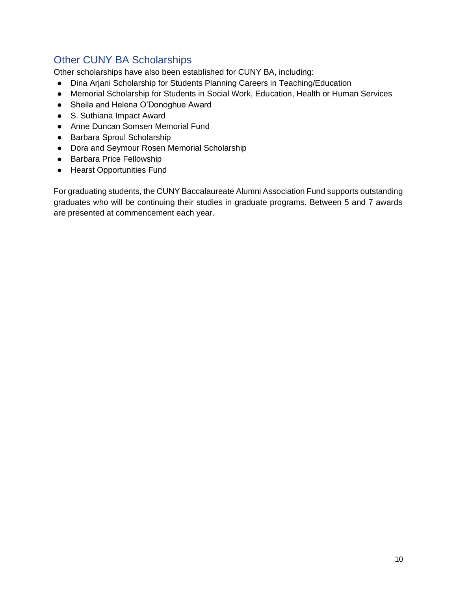### Other CUNY BA Scholarships

[Other](https://cunyba.cuny.edu/scholarships-cunyba/) [scholarships](https://cunyba.cuny.edu/scholarships-cunyba/) have also been established for CUNY BA, including:

- Dina Arjani Scholarship for Students Planning Careers in Teaching/Education
- Memorial Scholarship for Students in Social Work, Education, Health or Human Services
- Sheila and Helena O'Donoghue Award
- S. Suthiana Impact Award
- Anne Duncan Somsen Memorial Fund
- Barbara Sproul Scholarship
- Dora and Seymour Rosen Memorial Scholarship
- Barbara Price Fellowship
- Hearst Opportunities Fund

For graduating students, the CUNY Baccalaureate Alumni Association Fund supports outstanding graduates who will be continuing their studies in graduate programs. Between 5 and 7 awards are presented at commencement each year.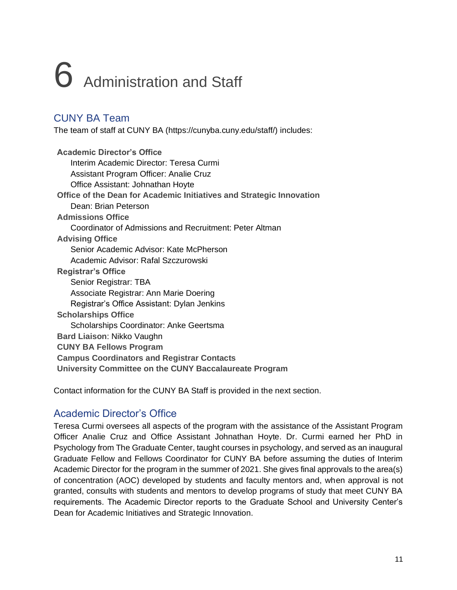# 6 Administration and Staff

### CUNY BA Team

The [team of staff at CUNY BA](https://cunyba.cuny.edu/directory/) (https://cunyba.cuny.edu/staff/) includes:

**Academic Director's Office** Interim Academic Director: Teresa Curmi Assistant Program Officer: Analie Cruz Office Assistant: Johnathan Hoyte **Office of the Dean for Academic Initiatives and Strategic Innovation**  Dean: Brian Peterson **Admissions Office** Coordinator of Admissions and Recruitment: Peter Altman **Advising Office**  Senior Academic Advisor: Kate McPherson Academic Advisor: Rafal Szczurowski **Registrar's Office**  Senior Registrar: TBA Associate Registrar: Ann Marie Doering Registrar's Office Assistant: Dylan Jenkins **Scholarships Office** Scholarships Coordinator: Anke Geertsma **Bard Liaison**: Nikko Vaughn **CUNY BA Fellows Program Campus Coordinators and Registrar Contacts University Committee on the CUNY Baccalaureate Program**

Contact information for the CUNY BA Staff is provided in the next section.

### Academic Director's Office

Teresa Curmi oversees all aspects of the program with the assistance of the Assistant Program Officer Analie Cruz and Office Assistant Johnathan Hoyte. Dr. Curmi earned her PhD in Psychology from The Graduate Center, taught courses in psychology, and served as an inaugural Graduate Fellow and Fellows Coordinator for CUNY BA before assuming the duties of Interim Academic Director for the program in the summer of 2021. She gives final approvals to the area(s) of concentration (AOC) developed by students and faculty mentors and, when approval is not granted, consults with students and mentors to develop programs of study that meet CUNY BA requirements. The Academic Director reports to the Graduate School and University Center's Dean for Academic Initiatives and Strategic Innovation.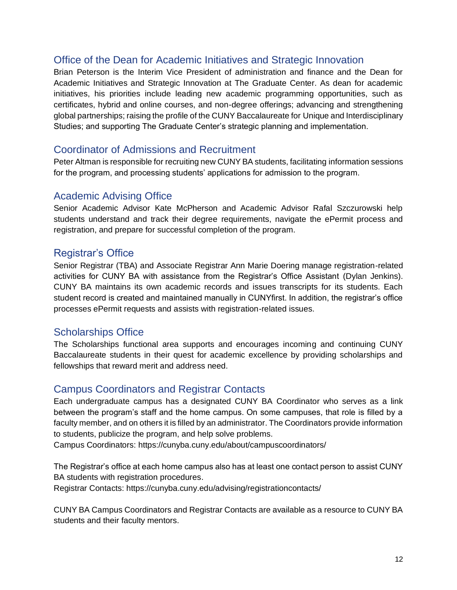#### Office of the Dean for Academic Initiatives and Strategic Innovation

Brian Peterson is the Interim Vice President of administration and finance and the Dean for Academic Initiatives and Strategic Innovation at The Graduate Center. As dean for academic initiatives, his priorities include leading new academic programming opportunities, such as certificates, hybrid and online courses, and non-degree offerings; advancing and strengthening global partnerships; raising the profile of the CUNY Baccalaureate for Unique and Interdisciplinary Studies; and supporting The Graduate Center's strategic planning and implementation.

#### Coordinator of Admissions and Recruitment

Peter Altman is responsible for recruiting new CUNY BA students, facilitating information sessions for the program, and processing students' applications for admission to the program.

#### Academic Advising Office

Senior Academic Advisor Kate McPherson and Academic Advisor Rafal Szczurowski help students understand and track their degree requirements, navigate the ePermit process and registration, and prepare for successful completion of the program.

#### Registrar's Office

Senior Registrar (TBA) and Associate Registrar Ann Marie Doering manage registration-related activities for CUNY BA with assistance from the Registrar's Office Assistant (Dylan Jenkins). CUNY BA maintains its own academic records and issues transcripts for its students. Each student record is created and maintained manually in CUNYfirst. In addition, the registrar's office processes ePermit requests and assists with registration-related issues.

#### Scholarships Office

The Scholarships functional area supports and encourages incoming and continuing CUNY Baccalaureate students in their quest for academic excellence by providing scholarships and fellowships that reward merit and address need.

#### Campus Coordinators and Registrar Contacts

Each undergraduate campus has a designated CUNY BA Coordinator who serves as a link between the program's staff and the home campus. On some campuses, that role is filled by a faculty member, and on others it is filled by an administrator. The Coordinators provide information to students, publicize the program, and help solve problems.

Campus Coordinators: https://cunyba.cuny.edu/about/campuscoordinators/

The Registrar's office at each home campus also has at least one contact person to assist CUNY BA students with registration procedures.

Registrar Contacts: https://cunyba.cuny.edu/advising/registrationcontacts/

CUNY BA [Campus Coordinators](https://cunyba.cuny.edu/campuscoordinators) and [Registrar Contacts](https://cunyba.cuny.edu/registrationcontacts) are available as a resource to CUNY BA students and their faculty mentors.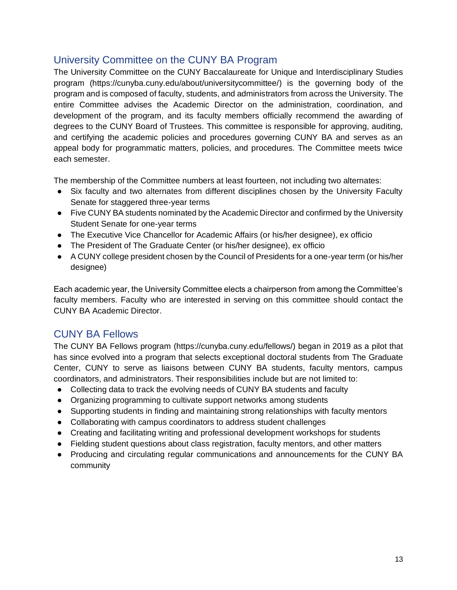#### University Committee on the CUNY BA Program

The [University Committee on the CUNY Baccalaureate](https://cunyba.cuny.edu/universitycommittee/) for Unique and Interdisciplinary Studies [program](https://cunyba.cuny.edu/universitycommittee/) [\(https://cunyba.cuny.edu/about/universitycommittee/\)](https://cunyba.cuny.edu/about/universitycommittee/) is the governing body of the program and is composed of faculty, students, and administrators from across the University. The entire Committee advises the Academic Director on the administration, coordination, and development of the program, and its faculty members officially recommend the awarding of degrees to the CUNY Board of Trustees. This committee is responsible for approving, auditing, and certifying the academic policies and procedures governing CUNY BA and serves as an appeal body for programmatic matters, policies, and procedures. The Committee meets twice each semester.

The membership of the Committee numbers at least fourteen, not including two alternates:

- Six faculty and two alternates from different disciplines chosen by the University Faculty Senate for staggered three-year terms
- Five CUNY BA students nominated by the Academic Director and confirmed by the University Student Senate for one-year terms
- The Executive Vice Chancellor for Academic Affairs (or his/her designee), ex officio
- The President of The Graduate Center (or his/her designee), ex officio
- A CUNY college president chosen by the Council of Presidents for a one-year term (or his/her designee)

Each academic year, the University Committee elects a chairperson from among the Committee's faculty members. Faculty who are interested in serving on this committee should contact the CUNY BA Academic Director.

#### CUNY BA Fellows

The CUNY BA Fellows program [\(https://cunyba.cuny.edu/fellows/\)](https://cunyba.cuny.edu/fellows/) began in 2019 as a pilot that has since evolved into a program that selects exceptional doctoral students from The Graduate Center, CUNY to serve as liaisons between CUNY BA students, faculty mentors, campus coordinators, and administrators. Their responsibilities include but are not limited to:

- Collecting data to track the evolving needs of CUNY BA students and faculty
- Organizing programming to cultivate support networks among students
- Supporting students in finding and maintaining strong relationships with faculty mentors
- Collaborating with campus coordinators to address student challenges
- Creating and facilitating writing and professional development workshops for students
- Fielding student questions about class registration, faculty mentors, and other matters
- Producing and circulating regular communications and announcements for the CUNY BA community